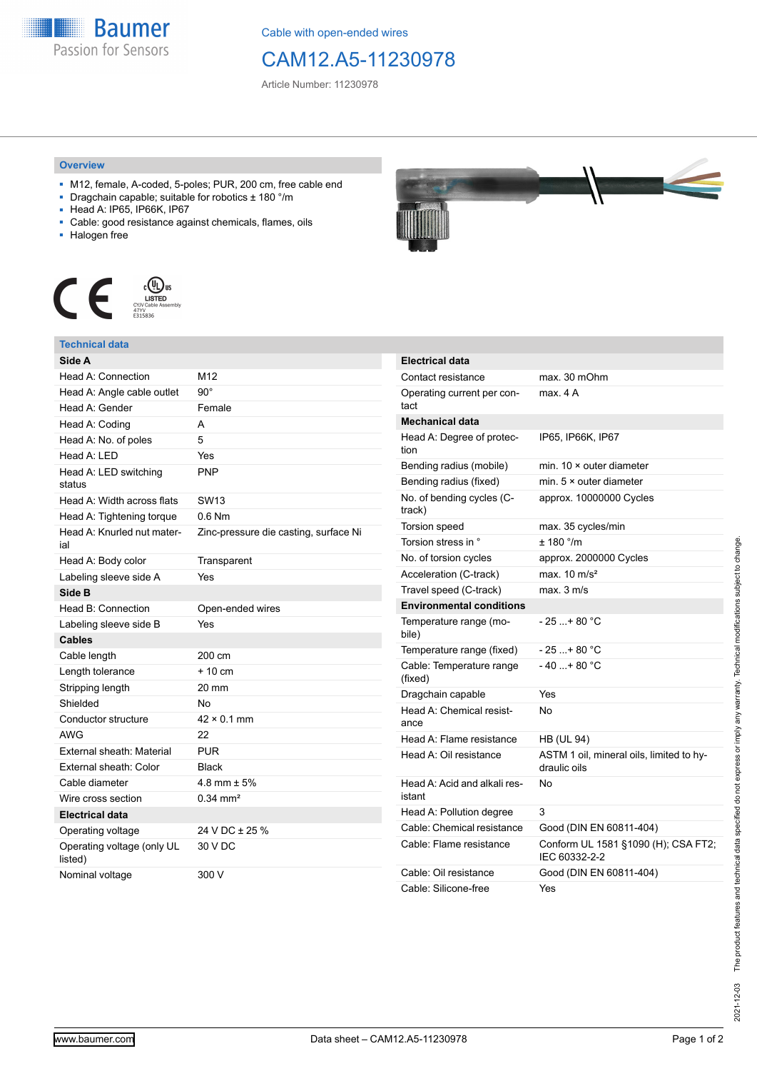

Cable with open-ended wires

# CAM12.A5-11230978

Article Number: 11230978

### **Overview**

- M12, female, A-coded, 5-poles; PUR, 200 cm, free cable end
- Dragchain capable; suitable for robotics ± 180 °/m
- Head A: IP65, IP66K, IP67
- Cable: good resistance against chemicals, flames, oils
- Halogen free



## **Technical data**

| Side A                                |                                       |
|---------------------------------------|---------------------------------------|
| Head A: Connection                    | M <sub>12</sub>                       |
| Head A: Angle cable outlet            | $90^{\circ}$                          |
| Head A: Gender                        | Female                                |
| Head A: Coding                        | A                                     |
| Head A: No. of poles                  | 5                                     |
| Head A: LED                           | Yes                                   |
| Head A: LED switching<br>status       | <b>PNP</b>                            |
| Head A: Width across flats            | <b>SW13</b>                           |
| Head A: Tightening torque             | $0.6$ Nm                              |
| Head A: Knurled nut mater-<br>ial     | Zinc-pressure die casting, surface Ni |
| Head A: Body color                    | Transparent                           |
| Labeling sleeve side A                | Yes                                   |
| Side B                                |                                       |
| Head B: Connection                    | Open-ended wires                      |
| Labeling sleeve side B                | Yes                                   |
| <b>Cables</b>                         |                                       |
| Cable length                          | 200 cm                                |
| Length tolerance                      | $+10cm$                               |
| Stripping length                      | 20 mm                                 |
| Shielded                              | No                                    |
| Conductor structure                   | $42 \times 0.1$ mm                    |
| <b>AWG</b>                            | 22                                    |
| External sheath: Material             | <b>PUR</b>                            |
| External sheath: Color                | <b>Black</b>                          |
| Cable diameter                        | 4.8 mm $\pm$ 5%                       |
| Wire cross section                    | $0.34$ mm <sup>2</sup>                |
| <b>Electrical data</b>                |                                       |
| Operating voltage                     | 24 V DC ± 25 %                        |
| Operating voltage (only UL<br>listed) | 30 V DC                               |
| Nominal voltage                       | 300 V                                 |



| <b>Electrical data</b>                 |                                                          |
|----------------------------------------|----------------------------------------------------------|
| Contact resistance                     | max. 30 mOhm                                             |
| Operating current per con-<br>tact     | max 4 A                                                  |
| <b>Mechanical data</b>                 |                                                          |
| Head A: Degree of protec-<br>tion      | IP65, IP66K, IP67                                        |
| Bending radius (mobile)                | min. $10 \times$ outer diameter                          |
| Bending radius (fixed)                 | min. $5 \times$ outer diameter                           |
| No. of bending cycles (C-<br>track)    | approx. 10000000 Cycles                                  |
| Torsion speed                          | max. 35 cycles/min                                       |
| Torsion stress in °                    | $± 180$ °/m                                              |
| No. of torsion cycles                  | approx. 2000000 Cycles                                   |
| Acceleration (C-track)                 | max. $10 \text{ m/s}^2$                                  |
| Travel speed (C-track)                 | max. 3 m/s                                               |
| <b>Environmental conditions</b>        |                                                          |
| Temperature range (mo-<br>bile)        | $-25$ + 80 °C                                            |
| Temperature range (fixed)              | - 25 + 80 °C                                             |
| Cable: Temperature range<br>(fixed)    | $-40+80 °C$                                              |
| Dragchain capable                      | Yes                                                      |
| Head A: Chemical resist-<br>ance       | No                                                       |
| Head A: Flame resistance               | <b>HB (UL 94)</b>                                        |
| Head A: Oil resistance                 | ASTM 1 oil, mineral oils, limited to hy-<br>draulic oils |
| Head A: Acid and alkali res-<br>istant | N٥                                                       |
| Head A: Pollution degree               | 3                                                        |
| Cable: Chemical resistance             | Good (DIN EN 60811-404)                                  |
| Cable: Flame resistance                | Conform UL 1581 §1090 (H); CSA FT2;<br>IEC 60332-2-2     |
| Cable: Oil resistance                  | Good (DIN EN 60811-404)                                  |
| Cable: Silicone-free                   | Yes                                                      |